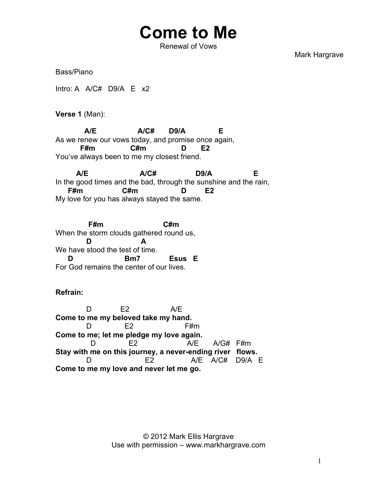## **Come to Me**

Renewal of Vows

Mark Hargrave

Bass/Piano

Intro: A A/C# D9/A E x2

**Verse 1** (Man):

 **A/E A/C# D9/A E** As we renew our vows today, and promise once again,  **F#m C#m D E2** You've always been to me my closest friend.

 **A/E A/C# D9/A E** In the good times and the bad, through the sunshine and the rain,  **F#m C#m D E2** My love for you has always stayed the same.

 **F#m C#m** When the storm clouds gathered round us,  **D A** We have stood the test of time.  **D Bm7 Esus E** For God remains the center of our lives.

## **Refrain:**

 D E2 A/E **Come to me my beloved take my hand.**  D E2 F#m **Come to me; let me pledge my love again.** D E2 A/E A/G# F#m **Stay with me on this journey, a never-ending river flows.** E2 A/E A/C# D9/A E **Come to me my love and never let me go.**

> © 2012 Mark Ellis Hargrave Use with permission – www.markhargrave.com